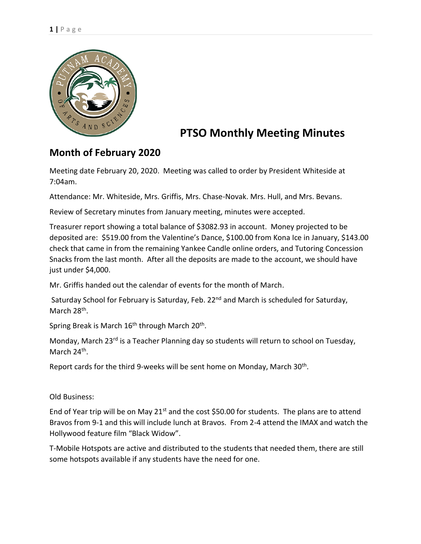

## **PTSO Monthly Meeting Minutes**

## **Month of February 2020**

Meeting date February 20, 2020. Meeting was called to order by President Whiteside at 7:04am.

Attendance: Mr. Whiteside, Mrs. Griffis, Mrs. Chase-Novak. Mrs. Hull, and Mrs. Bevans.

Review of Secretary minutes from January meeting, minutes were accepted.

Treasurer report showing a total balance of \$3082.93 in account. Money projected to be deposited are: \$519.00 from the Valentine's Dance, \$100.00 from Kona Ice in January, \$143.00 check that came in from the remaining Yankee Candle online orders, and Tutoring Concession Snacks from the last month. After all the deposits are made to the account, we should have just under \$4,000.

Mr. Griffis handed out the calendar of events for the month of March.

Saturday School for February is Saturday, Feb. 22<sup>nd</sup> and March is scheduled for Saturday, March 28<sup>th</sup>.

Spring Break is March 16<sup>th</sup> through March 20<sup>th</sup>.

Monday, March 23<sup>rd</sup> is a Teacher Planning day so students will return to school on Tuesday, March 24<sup>th</sup>.

Report cards for the third 9-weeks will be sent home on Monday, March 30<sup>th</sup>.

Old Business:

End of Year trip will be on May 21<sup>st</sup> and the cost \$50.00 for students. The plans are to attend Bravos from 9-1 and this will include lunch at Bravos. From 2-4 attend the IMAX and watch the Hollywood feature film "Black Widow".

T-Mobile Hotspots are active and distributed to the students that needed them, there are still some hotspots available if any students have the need for one.